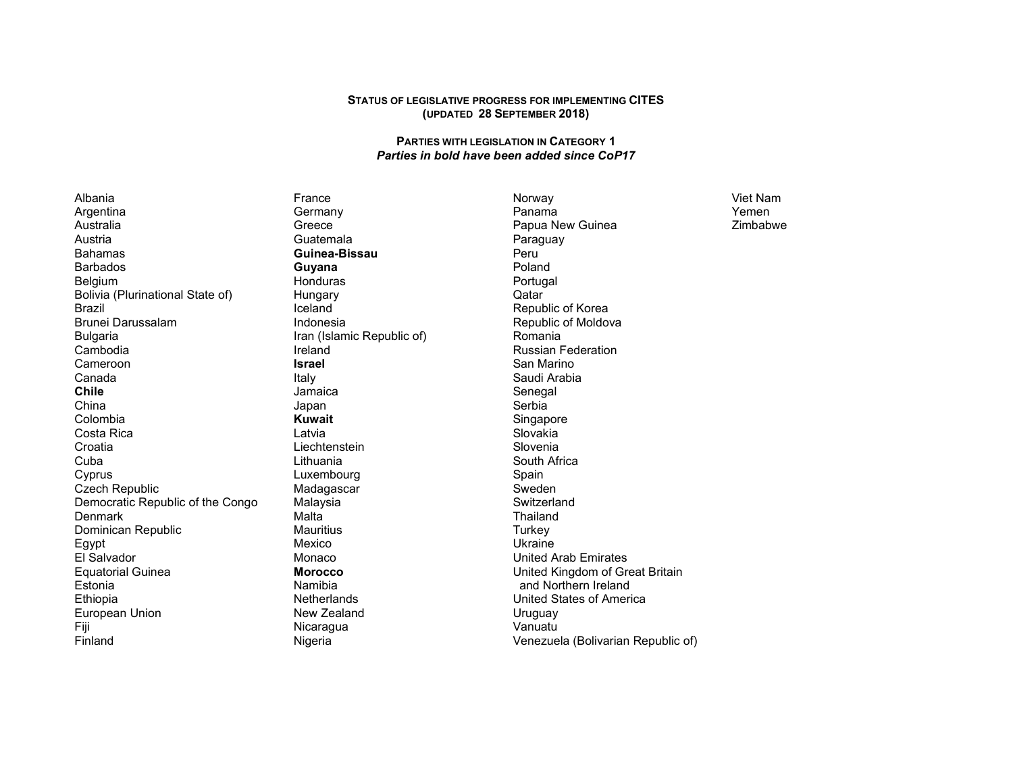## **STATUS OF LEGISLATIVE PROGRESS FOR IMPLEMENTING CITES (UPDATED 28 <sup>S</sup>EPTEMBER 2018)**

## **PARTIES WITH LEGISLATION IN CATEGORY 1** *Parties in bold have been added since CoP17*

Albania Argentina Australia Austria Bahamas Barbados Belgium Bolivia (Plurinational State of) Brazil Brunei Darussalam Bulgaria Cambodia Cameroon Canada **Chile**  China Colombia Costa Rica **Croatia** Cuba Cyprus Czech Republic Democratic Republic of the Congo **Denmark**  Dominican Republic Egypt El Salvador Equatorial Guinea Estonia Ethiopia European Union Fiji Finland

France Germany Greece Guatemala **Guinea-Bissau Guyana**  Honduras Hungary Iceland Indonesia Iran (Islamic Republic of) Ireland **Israel** Italy Jamaica Japan **Kuwait** Latvia Liechtenstein Lithuania Luxembourg Madagascar Malaysia Malta Mauritius Mexico Monaco **Morocco** Namibia Netherlands New Zealand **Nicaragua** Nigeria

Norway Panama Papua New Guinea Paraguay Peru Poland Portugal Qatar Republic of Korea Republic of Moldova Romania Russian Federation San Marino Saudi Arabia Senegal Serbia Singapore Slovakia Slovenia South Africa Spain Sweden Switzerland Thailand **Turkey**  Ukraine United Arab Emirates United Kingdom of Great Britain and Northern Ireland United States of America Uruguay Vanuatu Venezuela (Bolivarian Republic of)

Viet Nam Yemen Zimbabwe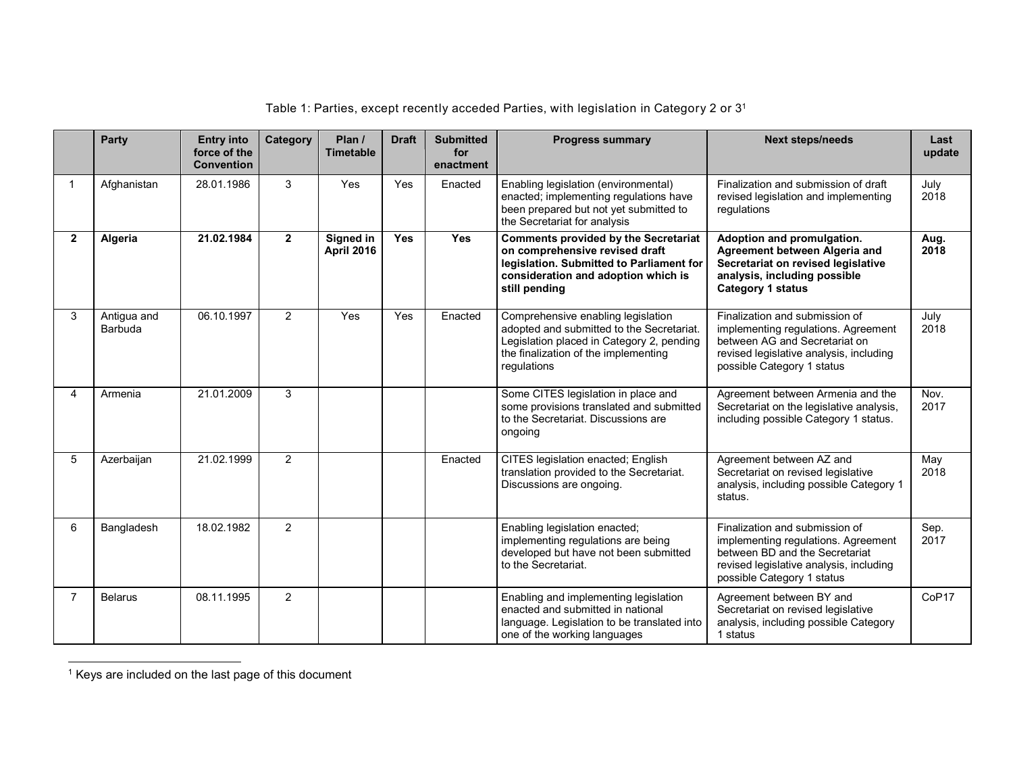|              | Party                  | <b>Entry into</b><br>force of the<br><b>Convention</b> | Category       | Plan /<br><b>Timetable</b>            | <b>Draft</b> | <b>Submitted</b><br>for<br>enactment | <b>Progress summary</b>                                                                                                                                                             | <b>Next steps/needs</b>                                                                                                                                                          | Last<br>update |
|--------------|------------------------|--------------------------------------------------------|----------------|---------------------------------------|--------------|--------------------------------------|-------------------------------------------------------------------------------------------------------------------------------------------------------------------------------------|----------------------------------------------------------------------------------------------------------------------------------------------------------------------------------|----------------|
| 1            | Afghanistan            | 28.01.1986                                             | 3              | Yes                                   | Yes          | Enacted                              | Enabling legislation (environmental)<br>enacted; implementing regulations have<br>been prepared but not yet submitted to<br>the Secretariat for analysis                            | Finalization and submission of draft<br>revised legislation and implementing<br>regulations                                                                                      | July<br>2018   |
| $\mathbf{2}$ | Algeria                | 21.02.1984                                             | $\overline{2}$ | <b>Signed in</b><br><b>April 2016</b> | <b>Yes</b>   | <b>Yes</b>                           | <b>Comments provided by the Secretariat</b><br>on comprehensive revised draft<br>legislation. Submitted to Parliament for<br>consideration and adoption which is<br>still pending   | Adoption and promulgation.<br>Agreement between Algeria and<br>Secretariat on revised legislative<br>analysis, including possible<br><b>Category 1 status</b>                    | Aug.<br>2018   |
| 3            | Antigua and<br>Barbuda | 06.10.1997                                             | $\overline{2}$ | Yes                                   | Yes          | Enacted                              | Comprehensive enabling legislation<br>adopted and submitted to the Secretariat.<br>Legislation placed in Category 2, pending<br>the finalization of the implementing<br>regulations | Finalization and submission of<br>implementing regulations. Agreement<br>between AG and Secretariat on<br>revised legislative analysis, including<br>possible Category 1 status  | July<br>2018   |
| 4            | Armenia                | 21.01.2009                                             | 3              |                                       |              |                                      | Some CITES legislation in place and<br>some provisions translated and submitted<br>to the Secretariat. Discussions are<br>ongoing                                                   | Agreement between Armenia and the<br>Secretariat on the legislative analysis,<br>including possible Category 1 status.                                                           | Nov.<br>2017   |
| 5            | Azerbaijan             | 21.02.1999                                             | $\overline{2}$ |                                       |              | Enacted                              | CITES legislation enacted; English<br>translation provided to the Secretariat.<br>Discussions are ongoing.                                                                          | Agreement between AZ and<br>Secretariat on revised legislative<br>analysis, including possible Category 1<br>status.                                                             | May<br>2018    |
| 6            | Bangladesh             | 18.02.1982                                             | 2              |                                       |              |                                      | Enabling legislation enacted;<br>implementing regulations are being<br>developed but have not been submitted<br>to the Secretariat.                                                 | Finalization and submission of<br>implementing regulations. Agreement<br>between BD and the Secretariat<br>revised legislative analysis, including<br>possible Category 1 status | Sep.<br>2017   |
| 7            | <b>Belarus</b>         | 08.11.1995                                             | 2              |                                       |              |                                      | Enabling and implementing legislation<br>enacted and submitted in national<br>language. Legislation to be translated into<br>one of the working languages                           | Agreement between BY and<br>Secretariat on revised legislative<br>analysis, including possible Category<br>1 status                                                              | CoP17          |

Table 1: Parties, except recently acceded Parties, with legislation in Category 2 or 3<sup>1</sup>

1 Keys are included on the last page of this document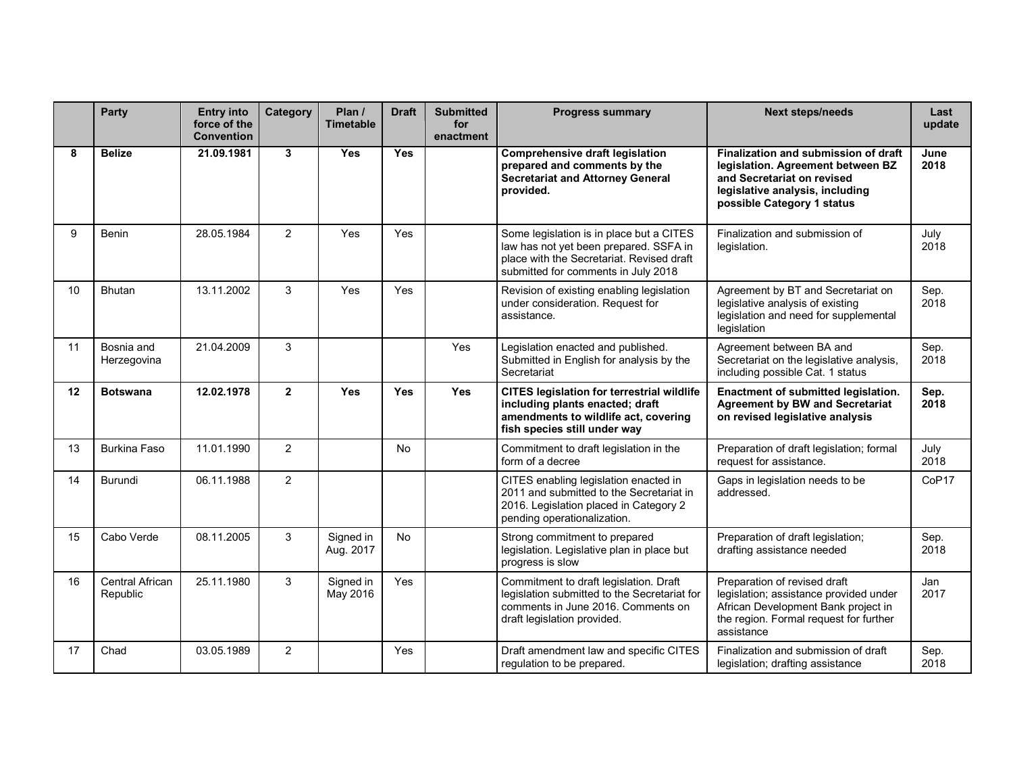|                 | Party                              | <b>Entry into</b><br>force of the<br><b>Convention</b> | Category       | Plan /<br><b>Timetable</b> | <b>Draft</b> | <b>Submitted</b><br>for<br>enactment | <b>Progress summary</b>                                                                                                                                                | <b>Next steps/needs</b>                                                                                                                                                  | Last<br>update |
|-----------------|------------------------------------|--------------------------------------------------------|----------------|----------------------------|--------------|--------------------------------------|------------------------------------------------------------------------------------------------------------------------------------------------------------------------|--------------------------------------------------------------------------------------------------------------------------------------------------------------------------|----------------|
| 8               | <b>Belize</b>                      | 21.09.1981                                             | $\mathbf{3}$   | Yes                        | <b>Yes</b>   |                                      | <b>Comprehensive draft legislation</b><br>prepared and comments by the<br><b>Secretariat and Attorney General</b><br>provided.                                         | Finalization and submission of draft<br>legislation. Agreement between BZ<br>and Secretariat on revised<br>legislative analysis, including<br>possible Category 1 status | June<br>2018   |
| 9               | Benin                              | 28.05.1984                                             | 2              | Yes                        | Yes          |                                      | Some legislation is in place but a CITES<br>law has not yet been prepared. SSFA in<br>place with the Secretariat. Revised draft<br>submitted for comments in July 2018 | Finalization and submission of<br>legislation.                                                                                                                           | July<br>2018   |
| 10 <sup>1</sup> | <b>Bhutan</b>                      | 13.11.2002                                             | 3              | Yes                        | Yes          |                                      | Revision of existing enabling legislation<br>under consideration. Request for<br>assistance.                                                                           | Agreement by BT and Secretariat on<br>legislative analysis of existing<br>legislation and need for supplemental<br>legislation                                           | Sep.<br>2018   |
| 11              | Bosnia and<br>Herzegovina          | 21.04.2009                                             | 3              |                            |              | Yes                                  | Legislation enacted and published.<br>Submitted in English for analysis by the<br>Secretariat                                                                          | Agreement between BA and<br>Secretariat on the legislative analysis,<br>including possible Cat. 1 status                                                                 | Sep.<br>2018   |
| 12              | <b>Botswana</b>                    | 12.02.1978                                             | $\overline{2}$ | Yes                        | <b>Yes</b>   | <b>Yes</b>                           | <b>CITES legislation for terrestrial wildlife</b><br>including plants enacted; draft<br>amendments to wildlife act, covering<br>fish species still under way           | Enactment of submitted legislation.<br><b>Agreement by BW and Secretariat</b><br>on revised legislative analysis                                                         | Sep.<br>2018   |
| 13              | <b>Burkina Faso</b>                | 11.01.1990                                             | 2              |                            | No           |                                      | Commitment to draft legislation in the<br>form of a decree                                                                                                             | Preparation of draft legislation; formal<br>request for assistance.                                                                                                      | July<br>2018   |
| 14              | Burundi                            | 06.11.1988                                             | 2              |                            |              |                                      | CITES enabling legislation enacted in<br>2011 and submitted to the Secretariat in<br>2016. Legislation placed in Category 2<br>pending operationalization.             | Gaps in legislation needs to be<br>addressed                                                                                                                             | CoP17          |
| 15              | Cabo Verde                         | 08.11.2005                                             | 3              | Signed in<br>Aug. 2017     | No           |                                      | Strong commitment to prepared<br>legislation. Legislative plan in place but<br>progress is slow                                                                        | Preparation of draft legislation;<br>drafting assistance needed                                                                                                          | Sep.<br>2018   |
| 16              | <b>Central African</b><br>Republic | 25.11.1980                                             | 3              | Signed in<br>May 2016      | Yes          |                                      | Commitment to draft legislation. Draft<br>legislation submitted to the Secretariat for<br>comments in June 2016. Comments on<br>draft legislation provided.            | Preparation of revised draft<br>legislation; assistance provided under<br>African Development Bank project in<br>the region. Formal request for further<br>assistance    | Jan<br>2017    |
| 17              | Chad                               | 03.05.1989                                             | 2              |                            | Yes          |                                      | Draft amendment law and specific CITES<br>regulation to be prepared.                                                                                                   | Finalization and submission of draft<br>legislation; drafting assistance                                                                                                 | Sep.<br>2018   |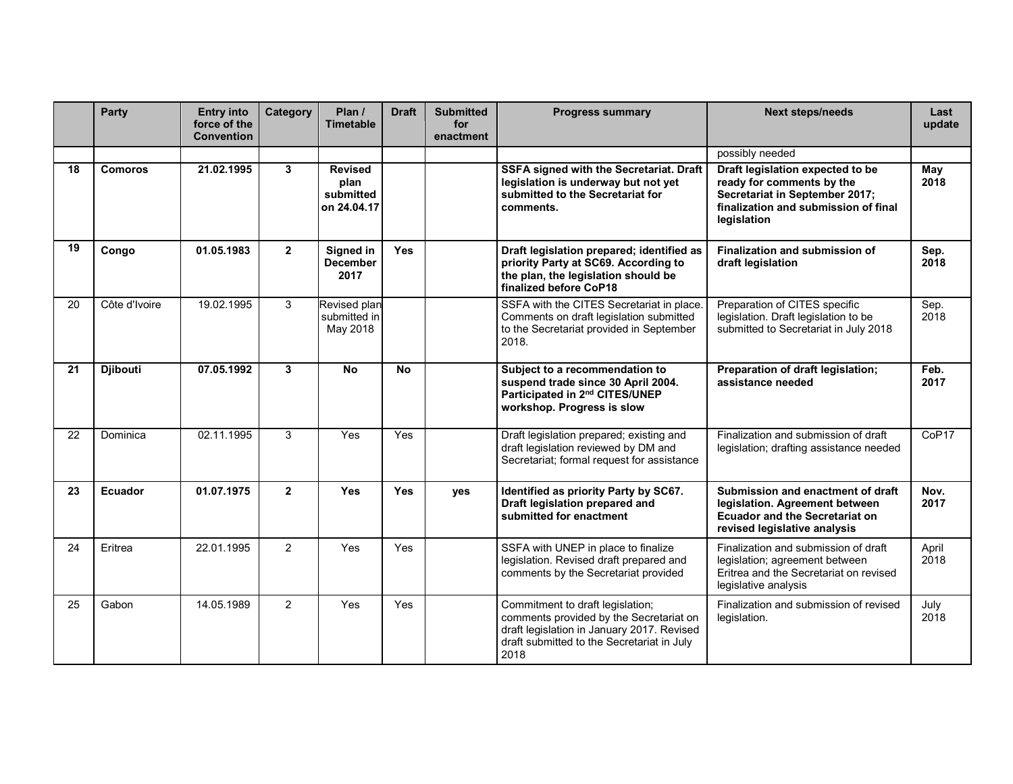|    | <b>Party</b>    | <b>Entry into</b><br>force of the<br><b>Convention</b> | Category       | Plan $\prime$<br><b>Timetable</b>                  | <b>Draft</b> | <b>Submitted</b><br>for<br>enactment | <b>Progress summary</b>                                                                                                                                                         | <b>Next steps/needs</b>                                                                                                                                | Last<br>update |
|----|-----------------|--------------------------------------------------------|----------------|----------------------------------------------------|--------------|--------------------------------------|---------------------------------------------------------------------------------------------------------------------------------------------------------------------------------|--------------------------------------------------------------------------------------------------------------------------------------------------------|----------------|
|    |                 |                                                        |                |                                                    |              |                                      |                                                                                                                                                                                 | possibly needed                                                                                                                                        |                |
| 18 | <b>Comoros</b>  | 21.02.1995                                             | $\mathbf{3}$   | <b>Revised</b><br>plan<br>submitted<br>on 24.04.17 |              |                                      | SSFA signed with the Secretariat. Draft<br>legislation is underway but not yet<br>submitted to the Secretariat for<br>comments.                                                 | Draft legislation expected to be<br>ready for comments by the<br>Secretariat in September 2017;<br>finalization and submission of final<br>legislation | May<br>2018    |
| 19 | Congo           | 01.05.1983                                             | $\mathbf{2}$   | Signed in<br><b>December</b><br>2017               | <b>Yes</b>   |                                      | Draft legislation prepared; identified as<br>priority Party at SC69. According to<br>the plan, the legislation should be<br>finalized before CoP18                              | Finalization and submission of<br>draft legislation                                                                                                    | Sep.<br>2018   |
| 20 | Côte d'Ivoire   | 19.02.1995                                             | 3              | Revised plan<br>submitted in<br>May 2018           |              |                                      | SSFA with the CITES Secretariat in place<br>Comments on draft legislation submitted<br>to the Secretariat provided in September<br>2018.                                        | Preparation of CITES specific<br>legislation. Draft legislation to be<br>submitted to Secretariat in July 2018                                         | Sep.<br>2018   |
| 21 | <b>Djibouti</b> | 07.05.1992                                             | 3              | <b>No</b>                                          | <b>No</b>    |                                      | Subject to a recommendation to<br>suspend trade since 30 April 2004.<br>Participated in 2nd CITES/UNEP<br>workshop. Progress is slow                                            | Preparation of draft legislation;<br>assistance needed                                                                                                 | Feb.<br>2017   |
| 22 | Dominica        | 02.11.1995                                             | 3              | Yes                                                | Yes          |                                      | Draft legislation prepared; existing and<br>draft legislation reviewed by DM and<br>Secretariat; formal request for assistance                                                  | Finalization and submission of draft<br>legislation; drafting assistance needed                                                                        | CoP17          |
| 23 | Ecuador         | 01.07.1975                                             | $\overline{2}$ | Yes                                                | <b>Yes</b>   | yes                                  | Identified as priority Party by SC67.<br>Draft legislation prepared and<br>submitted for enactment                                                                              | Submission and enactment of draft<br>legislation. Agreement between<br><b>Ecuador and the Secretariat on</b><br>revised legislative analysis           | Nov.<br>2017   |
| 24 | Eritrea         | 22.01.1995                                             | $\overline{2}$ | Yes                                                | Yes          |                                      | SSFA with UNEP in place to finalize<br>legislation. Revised draft prepared and<br>comments by the Secretariat provided                                                          | Finalization and submission of draft<br>legislation; agreement between<br>Eritrea and the Secretariat on revised<br>legislative analysis               | April<br>2018  |
| 25 | Gabon           | 14.05.1989                                             | $\overline{2}$ | Yes                                                | Yes          |                                      | Commitment to draft legislation;<br>comments provided by the Secretariat on<br>draft legislation in January 2017. Revised<br>draft submitted to the Secretariat in July<br>2018 | Finalization and submission of revised<br>legislation.                                                                                                 | July<br>2018   |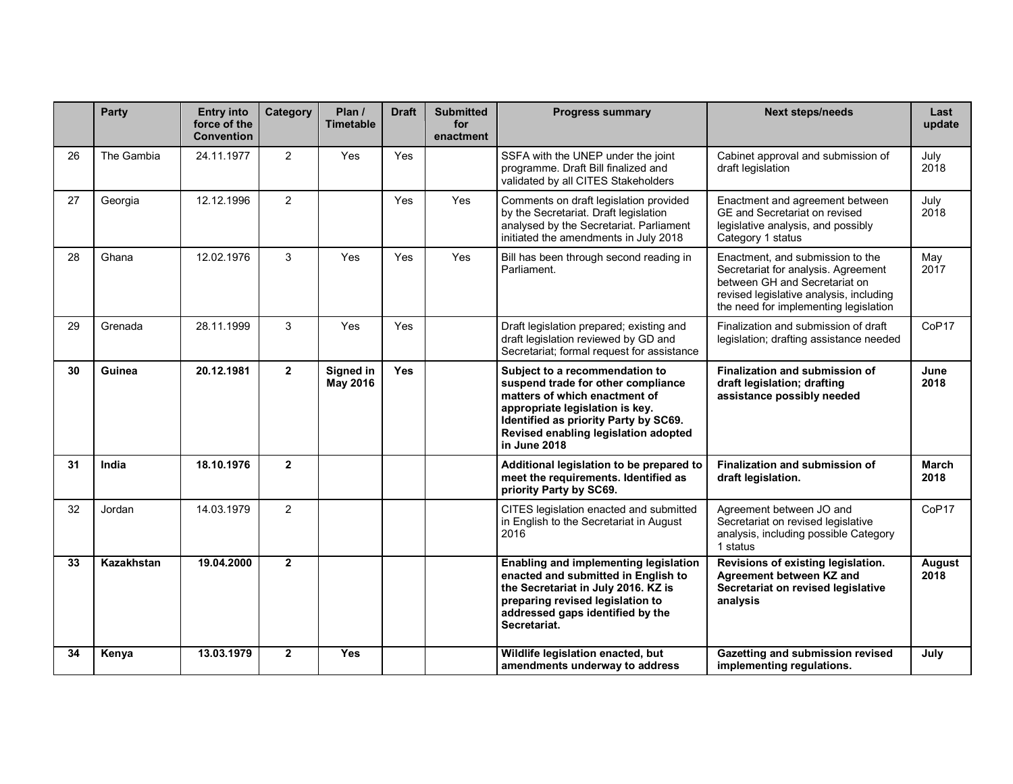|    | Party      | <b>Entry into</b><br>force of the<br><b>Convention</b> | <b>Category</b> | Plan /<br><b>Timetable</b> | <b>Draft</b> | <b>Submitted</b><br>for<br>enactment | <b>Progress summary</b>                                                                                                                                                                                                                   | <b>Next steps/needs</b>                                                                                                                                                                      | Last<br>update    |
|----|------------|--------------------------------------------------------|-----------------|----------------------------|--------------|--------------------------------------|-------------------------------------------------------------------------------------------------------------------------------------------------------------------------------------------------------------------------------------------|----------------------------------------------------------------------------------------------------------------------------------------------------------------------------------------------|-------------------|
| 26 | The Gambia | 24.11.1977                                             | $\overline{2}$  | Yes                        | Yes          |                                      | SSFA with the UNEP under the joint<br>programme. Draft Bill finalized and<br>validated by all CITES Stakeholders                                                                                                                          | Cabinet approval and submission of<br>draft legislation                                                                                                                                      | July<br>2018      |
| 27 | Georgia    | 12.12.1996                                             | 2               |                            | Yes          | Yes                                  | Comments on draft legislation provided<br>by the Secretariat. Draft legislation<br>analysed by the Secretariat. Parliament<br>initiated the amendments in July 2018                                                                       | Enactment and agreement between<br>GE and Secretariat on revised<br>legislative analysis, and possibly<br>Category 1 status                                                                  | July<br>2018      |
| 28 | Ghana      | 12.02.1976                                             | 3               | Yes                        | Yes          | Yes                                  | Bill has been through second reading in<br>Parliament.                                                                                                                                                                                    | Enactment, and submission to the<br>Secretariat for analysis. Agreement<br>between GH and Secretariat on<br>revised legislative analysis, including<br>the need for implementing legislation | May<br>2017       |
| 29 | Grenada    | 28.11.1999                                             | 3               | Yes                        | Yes          |                                      | Draft legislation prepared; existing and<br>draft legislation reviewed by GD and<br>Secretariat; formal request for assistance                                                                                                            | Finalization and submission of draft<br>legislation; drafting assistance needed                                                                                                              | CoP17             |
| 30 | Guinea     | 20.12.1981                                             | $\overline{2}$  | Signed in<br>May 2016      | <b>Yes</b>   |                                      | Subject to a recommendation to<br>suspend trade for other compliance<br>matters of which enactment of<br>appropriate legislation is key.<br>Identified as priority Party by SC69.<br>Revised enabling legislation adopted<br>in June 2018 | Finalization and submission of<br>draft legislation; drafting<br>assistance possibly needed                                                                                                  | June<br>2018      |
| 31 | India      | 18.10.1976                                             | $\mathbf{2}$    |                            |              |                                      | Additional legislation to be prepared to<br>meet the requirements. Identified as<br>priority Party by SC69.                                                                                                                               | Finalization and submission of<br>draft legislation.                                                                                                                                         | March<br>2018     |
| 32 | Jordan     | 14.03.1979                                             | $\overline{2}$  |                            |              |                                      | CITES legislation enacted and submitted<br>in English to the Secretariat in August<br>2016                                                                                                                                                | Agreement between JO and<br>Secretariat on revised legislative<br>analysis, including possible Category<br>1 status                                                                          | CoP <sub>17</sub> |
| 33 | Kazakhstan | 19.04.2000                                             | $\overline{2}$  |                            |              |                                      | Enabling and implementing legislation<br>enacted and submitted in English to<br>the Secretariat in July 2016. KZ is<br>preparing revised legislation to<br>addressed gaps identified by the<br>Secretariat.                               | Revisions of existing legislation.<br>Agreement between KZ and<br>Secretariat on revised legislative<br>analysis                                                                             | August<br>2018    |
| 34 | Kenya      | 13.03.1979                                             | $\mathbf{2}$    | Yes                        |              |                                      | Wildlife legislation enacted, but<br>amendments underway to address                                                                                                                                                                       | Gazetting and submission revised<br>implementing regulations.                                                                                                                                | July              |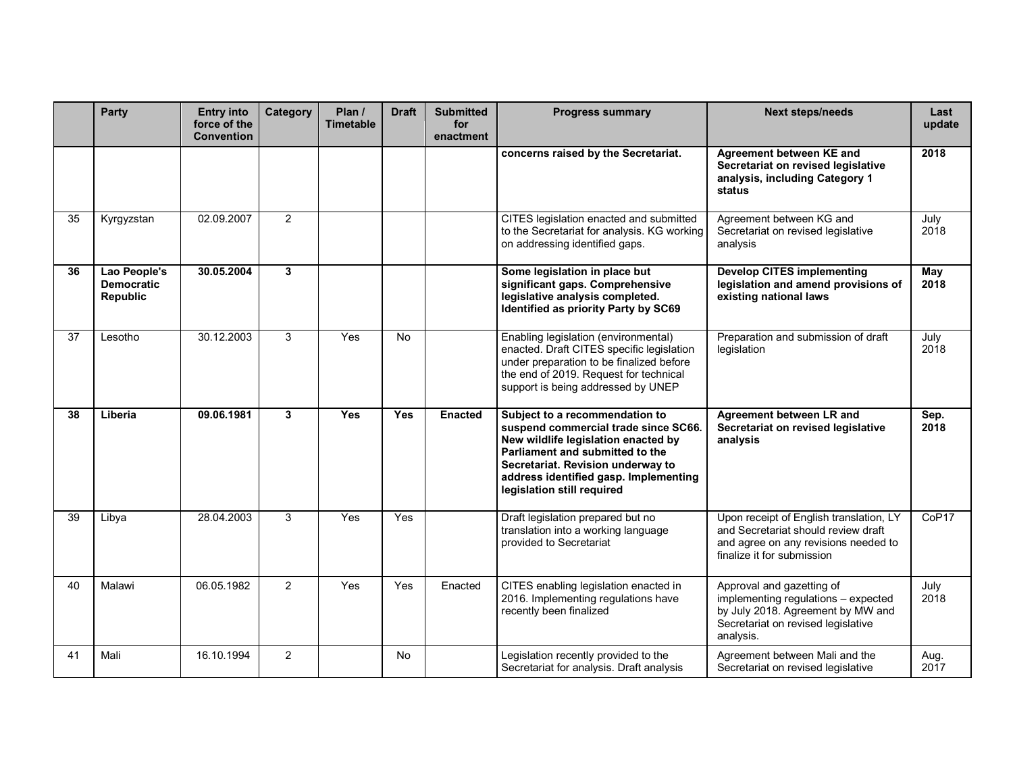|    | <b>Party</b>                                  | <b>Entry into</b><br>force of the<br><b>Convention</b> | <b>Category</b> | Plan /<br><b>Timetable</b> | <b>Draft</b> | <b>Submitted</b><br>for<br>enactment | <b>Progress summary</b>                                                                                                                                                                                                                                      | <b>Next steps/needs</b>                                                                                                                                  | Last<br>update |
|----|-----------------------------------------------|--------------------------------------------------------|-----------------|----------------------------|--------------|--------------------------------------|--------------------------------------------------------------------------------------------------------------------------------------------------------------------------------------------------------------------------------------------------------------|----------------------------------------------------------------------------------------------------------------------------------------------------------|----------------|
|    |                                               |                                                        |                 |                            |              |                                      | concerns raised by the Secretariat.                                                                                                                                                                                                                          | Agreement between KE and<br>Secretariat on revised legislative<br>analysis, including Category 1<br>status                                               | 2018           |
| 35 | Kyrgyzstan                                    | 02.09.2007                                             | 2               |                            |              |                                      | CITES legislation enacted and submitted<br>to the Secretariat for analysis. KG working<br>on addressing identified gaps.                                                                                                                                     | Agreement between KG and<br>Secretariat on revised legislative<br>analysis                                                                               | July<br>2018   |
| 36 | Lao People's<br><b>Democratic</b><br>Republic | 30.05.2004                                             | 3               |                            |              |                                      | Some legislation in place but<br>significant gaps. Comprehensive<br>legislative analysis completed.<br>Identified as priority Party by SC69                                                                                                                  | <b>Develop CITES implementing</b><br>legislation and amend provisions of<br>existing national laws                                                       | May<br>2018    |
| 37 | Lesotho                                       | 30.12.2003                                             | 3               | Yes                        | <b>No</b>    |                                      | Enabling legislation (environmental)<br>enacted. Draft CITES specific legislation<br>under preparation to be finalized before<br>the end of 2019. Request for technical<br>support is being addressed by UNEP                                                | Preparation and submission of draft<br>legislation                                                                                                       | July<br>2018   |
| 38 | Liberia                                       | 09.06.1981                                             | $\mathbf{3}$    | Yes                        | <b>Yes</b>   | <b>Enacted</b>                       | Subject to a recommendation to<br>suspend commercial trade since SC66.<br>New wildlife legislation enacted by<br>Parliament and submitted to the<br>Secretariat. Revision underway to<br>address identified gasp. Implementing<br>legislation still required | Agreement between LR and<br>Secretariat on revised legislative<br>analysis                                                                               | Sep.<br>2018   |
| 39 | Libya                                         | 28.04.2003                                             | 3               | Yes                        | Yes          |                                      | Draft legislation prepared but no<br>translation into a working language<br>provided to Secretariat                                                                                                                                                          | Upon receipt of English translation, LY<br>and Secretariat should review draft<br>and agree on any revisions needed to<br>finalize it for submission     | CoP17          |
| 40 | Malawi                                        | 06.05.1982                                             | 2               | Yes                        | Yes          | Enacted                              | CITES enabling legislation enacted in<br>2016. Implementing regulations have<br>recently been finalized                                                                                                                                                      | Approval and gazetting of<br>implementing regulations - expected<br>by July 2018. Agreement by MW and<br>Secretariat on revised legislative<br>analysis. | July<br>2018   |
| 41 | Mali                                          | 16.10.1994                                             | 2               |                            | <b>No</b>    |                                      | Legislation recently provided to the<br>Secretariat for analysis. Draft analysis                                                                                                                                                                             | Agreement between Mali and the<br>Secretariat on revised legislative                                                                                     | Aug.<br>2017   |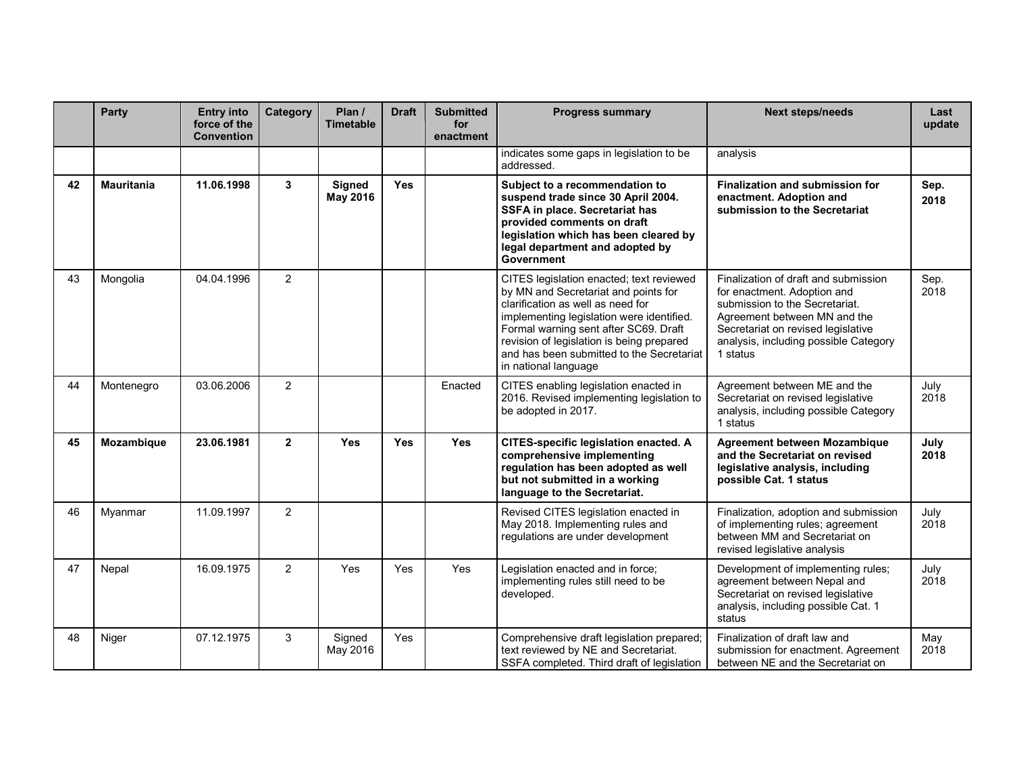|    | Party             | <b>Entry into</b><br>force of the<br><b>Convention</b> | Category       | Plan /<br><b>Timetable</b> | <b>Draft</b> | <b>Submitted</b><br>for<br>enactment | <b>Progress summary</b>                                                                                                                                                                                                                                                                                                       | <b>Next steps/needs</b>                                                                                                                                                                                                          | Last<br>update |
|----|-------------------|--------------------------------------------------------|----------------|----------------------------|--------------|--------------------------------------|-------------------------------------------------------------------------------------------------------------------------------------------------------------------------------------------------------------------------------------------------------------------------------------------------------------------------------|----------------------------------------------------------------------------------------------------------------------------------------------------------------------------------------------------------------------------------|----------------|
|    |                   |                                                        |                |                            |              |                                      | indicates some gaps in legislation to be<br>addressed.                                                                                                                                                                                                                                                                        | analysis                                                                                                                                                                                                                         |                |
| 42 | <b>Mauritania</b> | 11.06.1998                                             | $\mathbf{3}$   | Signed<br>May 2016         | <b>Yes</b>   |                                      | Subject to a recommendation to<br>suspend trade since 30 April 2004.<br>SSFA in place. Secretariat has<br>provided comments on draft<br>legislation which has been cleared by<br>legal department and adopted by<br><b>Government</b>                                                                                         | Finalization and submission for<br>enactment. Adoption and<br>submission to the Secretariat                                                                                                                                      | Sep.<br>2018   |
| 43 | Mongolia          | 04.04.1996                                             | 2              |                            |              |                                      | CITES legislation enacted; text reviewed<br>by MN and Secretariat and points for<br>clarification as well as need for<br>implementing legislation were identified.<br>Formal warning sent after SC69. Draft<br>revision of legislation is being prepared<br>and has been submitted to the Secretariat<br>in national language | Finalization of draft and submission<br>for enactment. Adoption and<br>submission to the Secretariat.<br>Agreement between MN and the<br>Secretariat on revised legislative<br>analysis, including possible Category<br>1 status | Sep.<br>2018   |
| 44 | Montenegro        | 03.06.2006                                             | $\overline{2}$ |                            |              | Enacted                              | CITES enabling legislation enacted in<br>2016. Revised implementing legislation to<br>be adopted in 2017.                                                                                                                                                                                                                     | Agreement between ME and the<br>Secretariat on revised legislative<br>analysis, including possible Category<br>1 status                                                                                                          | July<br>2018   |
| 45 | Mozambique        | 23.06.1981                                             | $\overline{2}$ | Yes                        | <b>Yes</b>   | <b>Yes</b>                           | CITES-specific legislation enacted. A<br>comprehensive implementing<br>regulation has been adopted as well<br>but not submitted in a working<br>language to the Secretariat.                                                                                                                                                  | <b>Agreement between Mozambique</b><br>and the Secretariat on revised<br>legislative analysis, including<br>possible Cat. 1 status                                                                                               | July<br>2018   |
| 46 | Myanmar           | 11.09.1997                                             | 2              |                            |              |                                      | Revised CITES legislation enacted in<br>May 2018. Implementing rules and<br>regulations are under development                                                                                                                                                                                                                 | Finalization, adoption and submission<br>of implementing rules; agreement<br>between MM and Secretariat on<br>revised legislative analysis                                                                                       | July<br>2018   |
| 47 | Nepal             | 16.09.1975                                             | 2              | Yes                        | Yes          | Yes                                  | Legislation enacted and in force;<br>implementing rules still need to be<br>developed.                                                                                                                                                                                                                                        | Development of implementing rules;<br>agreement between Nepal and<br>Secretariat on revised legislative<br>analysis, including possible Cat. 1<br>status                                                                         | July<br>2018   |
| 48 | Niger             | 07.12.1975                                             | 3              | Signed<br>May 2016         | Yes          |                                      | Comprehensive draft legislation prepared;<br>text reviewed by NE and Secretariat.<br>SSFA completed. Third draft of legislation                                                                                                                                                                                               | Finalization of draft law and<br>submission for enactment. Agreement<br>between NE and the Secretariat on                                                                                                                        | May<br>2018    |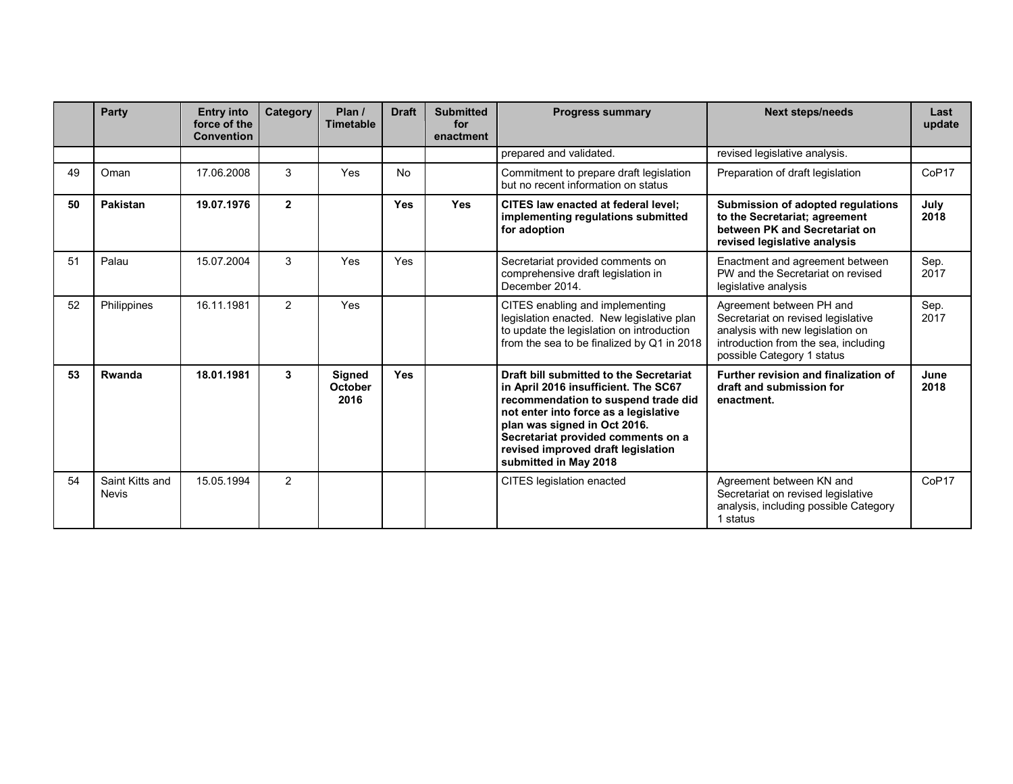|    | Party                    | <b>Entry into</b><br>force of the<br><b>Convention</b> | <b>Category</b> | Plan /<br><b>Timetable</b>       | <b>Draft</b> | <b>Submitted</b><br>for<br>enactment | <b>Progress summary</b>                                                                                                                                                                                                                                                                              | <b>Next steps/needs</b>                                                                                                                                                  | Last<br>update    |
|----|--------------------------|--------------------------------------------------------|-----------------|----------------------------------|--------------|--------------------------------------|------------------------------------------------------------------------------------------------------------------------------------------------------------------------------------------------------------------------------------------------------------------------------------------------------|--------------------------------------------------------------------------------------------------------------------------------------------------------------------------|-------------------|
|    |                          |                                                        |                 |                                  |              |                                      | prepared and validated.                                                                                                                                                                                                                                                                              | revised legislative analysis.                                                                                                                                            |                   |
| 49 | Oman                     | 17.06.2008                                             | 3               | Yes                              | <b>No</b>    |                                      | Commitment to prepare draft legislation<br>but no recent information on status                                                                                                                                                                                                                       | Preparation of draft legislation                                                                                                                                         | CoP <sub>17</sub> |
| 50 | Pakistan                 | 19.07.1976                                             | $\overline{2}$  |                                  | <b>Yes</b>   | <b>Yes</b>                           | CITES law enacted at federal level;<br>implementing regulations submitted<br>for adoption                                                                                                                                                                                                            | Submission of adopted regulations<br>to the Secretariat; agreement<br>between PK and Secretariat on<br>revised legislative analysis                                      | July<br>2018      |
| 51 | Palau                    | 15.07.2004                                             | 3               | Yes                              | Yes          |                                      | Secretariat provided comments on<br>comprehensive draft legislation in<br>December 2014.                                                                                                                                                                                                             | Enactment and agreement between<br>PW and the Secretariat on revised<br>legislative analysis                                                                             | Sep.<br>2017      |
| 52 | Philippines              | 16.11.1981                                             | $\overline{2}$  | Yes                              |              |                                      | CITES enabling and implementing<br>legislation enacted. New legislative plan<br>to update the legislation on introduction<br>from the sea to be finalized by Q1 in 2018                                                                                                                              | Agreement between PH and<br>Secretariat on revised legislative<br>analysis with new legislation on<br>introduction from the sea, including<br>possible Category 1 status | Sep.<br>2017      |
| 53 | Rwanda                   | 18.01.1981                                             | 3               | <b>Signed</b><br>October<br>2016 | <b>Yes</b>   |                                      | Draft bill submitted to the Secretariat<br>in April 2016 insufficient. The SC67<br>recommendation to suspend trade did<br>not enter into force as a legislative<br>plan was signed in Oct 2016.<br>Secretariat provided comments on a<br>revised improved draft legislation<br>submitted in May 2018 | Further revision and finalization of<br>draft and submission for<br>enactment.                                                                                           | June<br>2018      |
| 54 | Saint Kitts and<br>Nevis | 15.05.1994                                             | $\overline{2}$  |                                  |              |                                      | <b>CITES</b> legislation enacted                                                                                                                                                                                                                                                                     | Agreement between KN and<br>Secretariat on revised legislative<br>analysis, including possible Category<br>1 status                                                      | CoP <sub>17</sub> |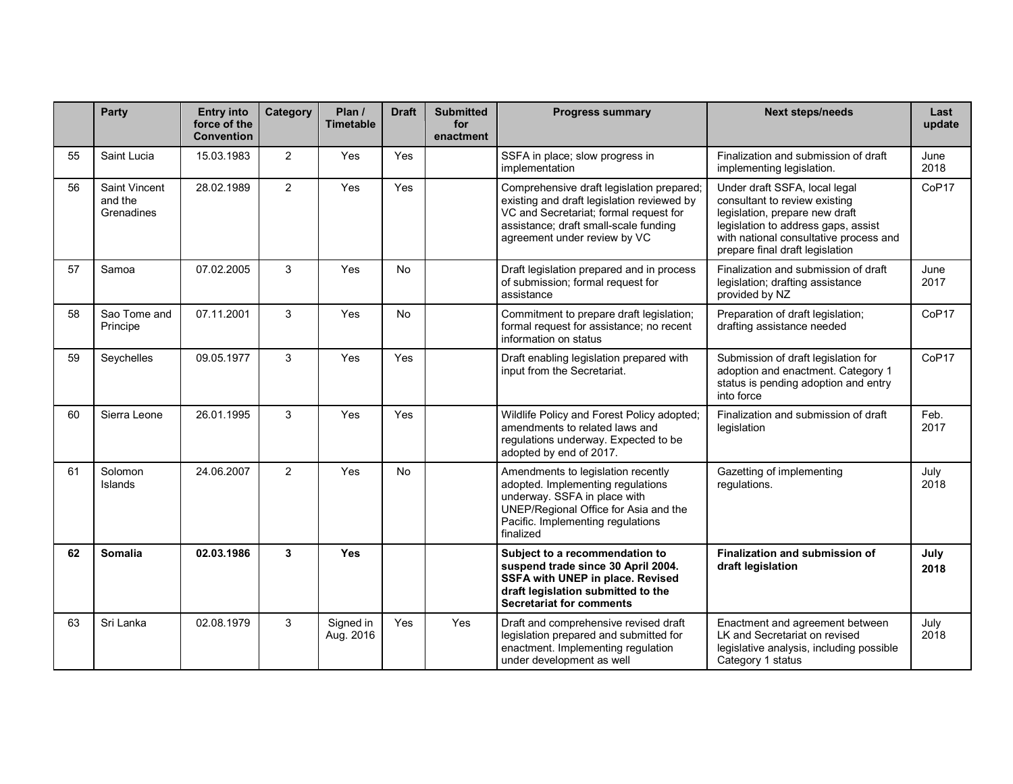|    | Party                                  | <b>Entry into</b><br>force of the<br><b>Convention</b> | Category       | Plan /<br><b>Timetable</b> | <b>Draft</b> | <b>Submitted</b><br>for<br>enactment | <b>Progress summary</b>                                                                                                                                                                                    | <b>Next steps/needs</b>                                                                                                                                                                                              | Last<br>update    |
|----|----------------------------------------|--------------------------------------------------------|----------------|----------------------------|--------------|--------------------------------------|------------------------------------------------------------------------------------------------------------------------------------------------------------------------------------------------------------|----------------------------------------------------------------------------------------------------------------------------------------------------------------------------------------------------------------------|-------------------|
| 55 | Saint Lucia                            | 15.03.1983                                             | $\overline{2}$ | Yes                        | Yes          |                                      | SSFA in place; slow progress in<br>implementation                                                                                                                                                          | Finalization and submission of draft<br>implementing legislation.                                                                                                                                                    | June<br>2018      |
| 56 | Saint Vincent<br>and the<br>Grenadines | 28.02.1989                                             | 2              | Yes                        | Yes          |                                      | Comprehensive draft legislation prepared;<br>existing and draft legislation reviewed by<br>VC and Secretariat; formal request for<br>assistance; draft small-scale funding<br>agreement under review by VC | Under draft SSFA, local legal<br>consultant to review existing<br>legislation, prepare new draft<br>legislation to address gaps, assist<br>with national consultative process and<br>prepare final draft legislation | CoP <sub>17</sub> |
| 57 | Samoa                                  | 07.02.2005                                             | 3              | Yes                        | No           |                                      | Draft legislation prepared and in process<br>of submission; formal request for<br>assistance                                                                                                               | Finalization and submission of draft<br>legislation; drafting assistance<br>provided by NZ                                                                                                                           | June<br>2017      |
| 58 | Sao Tome and<br>Principe               | 07.11.2001                                             | 3              | Yes                        | No           |                                      | Commitment to prepare draft legislation;<br>formal request for assistance; no recent<br>information on status                                                                                              | Preparation of draft legislation;<br>drafting assistance needed                                                                                                                                                      | CoP <sub>17</sub> |
| 59 | Seychelles                             | 09.05.1977                                             | 3              | Yes                        | Yes          |                                      | Draft enabling legislation prepared with<br>input from the Secretariat.                                                                                                                                    | Submission of draft legislation for<br>adoption and enactment. Category 1<br>status is pending adoption and entry<br>into force                                                                                      | CoP17             |
| 60 | Sierra Leone                           | 26.01.1995                                             | 3              | Yes                        | Yes          |                                      | Wildlife Policy and Forest Policy adopted;<br>amendments to related laws and<br>regulations underway. Expected to be<br>adopted by end of 2017.                                                            | Finalization and submission of draft<br>legislation                                                                                                                                                                  | Feb.<br>2017      |
| 61 | Solomon<br>Islands                     | 24.06.2007                                             | $\overline{2}$ | Yes                        | No           |                                      | Amendments to legislation recently<br>adopted. Implementing regulations<br>underway. SSFA in place with<br>UNEP/Regional Office for Asia and the<br>Pacific. Implementing regulations<br>finalized         | Gazetting of implementing<br>regulations.                                                                                                                                                                            | July<br>2018      |
| 62 | <b>Somalia</b>                         | 02.03.1986                                             | 3              | Yes                        |              |                                      | Subject to a recommendation to<br>suspend trade since 30 April 2004.<br>SSFA with UNEP in place. Revised<br>draft legislation submitted to the<br><b>Secretariat for comments</b>                          | Finalization and submission of<br>draft legislation                                                                                                                                                                  | July<br>2018      |
| 63 | Sri Lanka                              | 02.08.1979                                             | 3              | Signed in<br>Aug. 2016     | Yes          | Yes                                  | Draft and comprehensive revised draft<br>legislation prepared and submitted for<br>enactment. Implementing regulation<br>under development as well                                                         | Enactment and agreement between<br>LK and Secretariat on revised<br>legislative analysis, including possible<br>Category 1 status                                                                                    | July<br>2018      |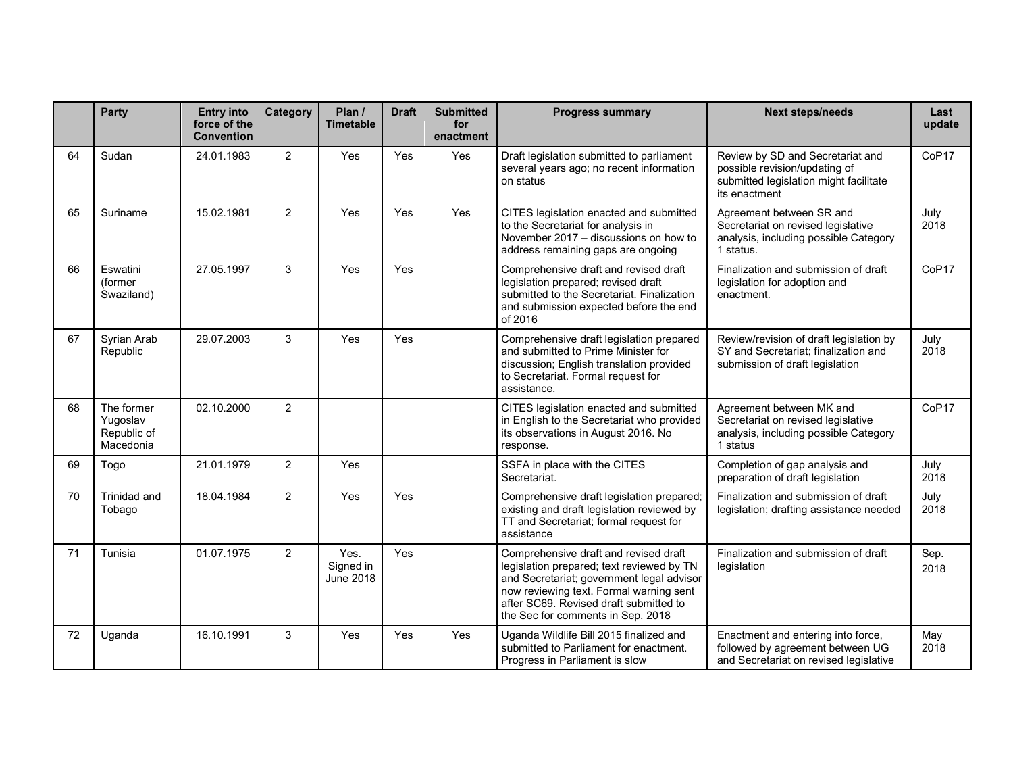|    | Party                                              | <b>Entry into</b><br>force of the<br><b>Convention</b> | <b>Category</b> | Plan /<br><b>Timetable</b>            | <b>Draft</b> | <b>Submitted</b><br>for<br>enactment | <b>Progress summary</b>                                                                                                                                                                                                                                   | <b>Next steps/needs</b>                                                                                                      | Last<br>update |
|----|----------------------------------------------------|--------------------------------------------------------|-----------------|---------------------------------------|--------------|--------------------------------------|-----------------------------------------------------------------------------------------------------------------------------------------------------------------------------------------------------------------------------------------------------------|------------------------------------------------------------------------------------------------------------------------------|----------------|
| 64 | Sudan                                              | 24.01.1983                                             | $\overline{2}$  | <b>Yes</b>                            | Yes          | Yes                                  | Draft legislation submitted to parliament<br>several years ago; no recent information<br>on status                                                                                                                                                        | Review by SD and Secretariat and<br>possible revision/updating of<br>submitted legislation might facilitate<br>its enactment | CoP17          |
| 65 | Suriname                                           | 15.02.1981                                             | $\overline{2}$  | Yes                                   | Yes          | Yes                                  | CITES legislation enacted and submitted<br>to the Secretariat for analysis in<br>November 2017 - discussions on how to<br>address remaining gaps are ongoing                                                                                              | Agreement between SR and<br>Secretariat on revised legislative<br>analysis, including possible Category<br>1 status.         | July<br>2018   |
| 66 | Eswatini<br>(former<br>Swaziland)                  | 27.05.1997                                             | 3               | Yes                                   | Yes          |                                      | Comprehensive draft and revised draft<br>legislation prepared; revised draft<br>submitted to the Secretariat. Finalization<br>and submission expected before the end<br>of 2016                                                                           | Finalization and submission of draft<br>legislation for adoption and<br>enactment.                                           | CoP17          |
| 67 | Syrian Arab<br>Republic                            | 29.07.2003                                             | 3               | Yes                                   | Yes          |                                      | Comprehensive draft legislation prepared<br>and submitted to Prime Minister for<br>discussion; English translation provided<br>to Secretariat. Formal request for<br>assistance.                                                                          | Review/revision of draft legislation by<br>SY and Secretariat; finalization and<br>submission of draft legislation           | July<br>2018   |
| 68 | The former<br>Yugoslav<br>Republic of<br>Macedonia | 02.10.2000                                             | $\overline{2}$  |                                       |              |                                      | CITES legislation enacted and submitted<br>in English to the Secretariat who provided<br>its observations in August 2016. No<br>response.                                                                                                                 | Agreement between MK and<br>Secretariat on revised legislative<br>analysis, including possible Category<br>1 status          | CoP17          |
| 69 | Togo                                               | 21.01.1979                                             | 2               | Yes                                   |              |                                      | SSFA in place with the CITES<br>Secretariat.                                                                                                                                                                                                              | Completion of gap analysis and<br>preparation of draft legislation                                                           | July<br>2018   |
| 70 | Trinidad and<br>Tobago                             | 18.04.1984                                             | 2               | Yes                                   | Yes          |                                      | Comprehensive draft legislation prepared;<br>existing and draft legislation reviewed by<br>TT and Secretariat; formal request for<br>assistance                                                                                                           | Finalization and submission of draft<br>legislation; drafting assistance needed                                              | July<br>2018   |
| 71 | Tunisia                                            | 01.07.1975                                             | $\overline{2}$  | Yes.<br>Signed in<br><b>June 2018</b> | Yes          |                                      | Comprehensive draft and revised draft<br>legislation prepared; text reviewed by TN<br>and Secretariat; government legal advisor<br>now reviewing text. Formal warning sent<br>after SC69. Revised draft submitted to<br>the Sec for comments in Sep. 2018 | Finalization and submission of draft<br>legislation                                                                          | Sep.<br>2018   |
| 72 | Uganda                                             | 16.10.1991                                             | 3               | Yes                                   | Yes          | Yes                                  | Uganda Wildlife Bill 2015 finalized and<br>submitted to Parliament for enactment.<br>Progress in Parliament is slow                                                                                                                                       | Enactment and entering into force,<br>followed by agreement between UG<br>and Secretariat on revised legislative             | May<br>2018    |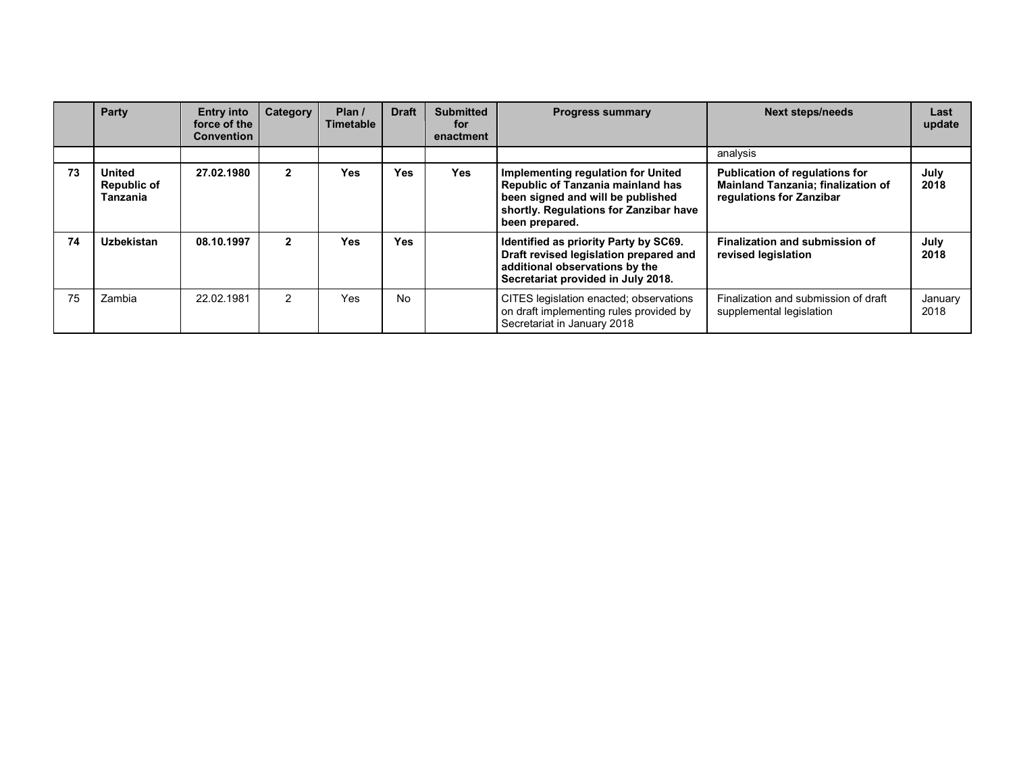|    | Party                                    | <b>Entry into</b><br>force of the<br><b>Convention</b> | Category      | Plan $/$<br><b>Timetable</b> | <b>Draft</b> | <b>Submitted</b><br>for<br>enactment | <b>Progress summary</b>                                                                                                                                                         | <b>Next steps/needs</b>                                                                                 | Last<br>update  |
|----|------------------------------------------|--------------------------------------------------------|---------------|------------------------------|--------------|--------------------------------------|---------------------------------------------------------------------------------------------------------------------------------------------------------------------------------|---------------------------------------------------------------------------------------------------------|-----------------|
|    |                                          |                                                        |               |                              |              |                                      |                                                                                                                                                                                 | analysis                                                                                                |                 |
| 73 | United<br><b>Republic of</b><br>Tanzania | 27.02.1980                                             | $\mathbf{2}$  | Yes                          | <b>Yes</b>   | Yes                                  | Implementing regulation for United<br><b>Republic of Tanzania mainland has</b><br>been signed and will be published<br>shortly. Regulations for Zanzibar have<br>been prepared. | Publication of regulations for<br><b>Mainland Tanzania; finalization of</b><br>regulations for Zanzibar | July<br>2018    |
| 74 | Uzbekistan                               | 08.10.1997                                             | $\mathbf{2}$  | <b>Yes</b>                   | <b>Yes</b>   |                                      | Identified as priority Party by SC69.<br>Draft revised legislation prepared and<br>additional observations by the<br>Secretariat provided in July 2018.                         | <b>Finalization and submission of</b><br>revised legislation                                            | July<br>2018    |
| 75 | Zambia                                   | 22.02.1981                                             | $\mathcal{P}$ | <b>Yes</b>                   | <b>No</b>    |                                      | CITES legislation enacted; observations<br>on draft implementing rules provided by<br>Secretariat in January 2018                                                               | Finalization and submission of draft<br>supplemental legislation                                        | January<br>2018 |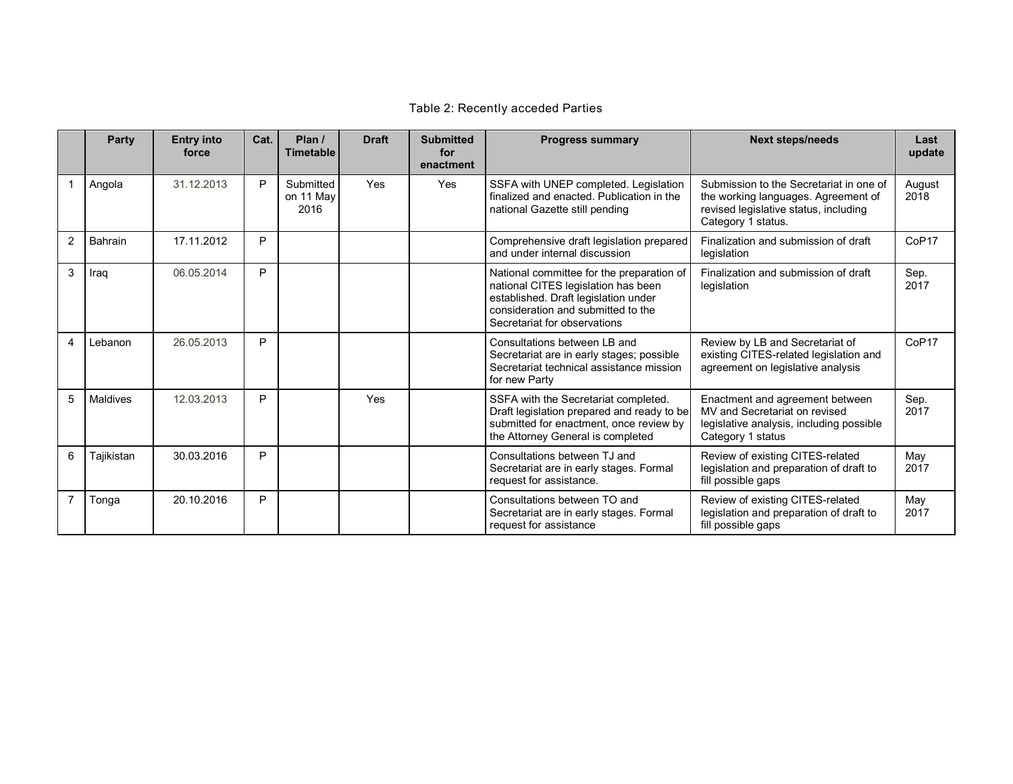## Table 2: Recently acceded Parties

|                | Party          | <b>Entry into</b><br>force | Cat. | Plan /<br><b>Timetable</b>     | <b>Draft</b> | <b>Submitted</b><br>for<br>enactment | <b>Progress summary</b>                                                                                                                                                                        | <b>Next steps/needs</b>                                                                                                                       | Last<br>update    |
|----------------|----------------|----------------------------|------|--------------------------------|--------------|--------------------------------------|------------------------------------------------------------------------------------------------------------------------------------------------------------------------------------------------|-----------------------------------------------------------------------------------------------------------------------------------------------|-------------------|
| $\mathbf{1}$   | Angola         | 31.12.2013                 | P    | Submitted<br>on 11 May<br>2016 | Yes          | Yes                                  | SSFA with UNEP completed. Legislation<br>finalized and enacted. Publication in the<br>national Gazette still pending                                                                           | Submission to the Secretariat in one of<br>the working languages. Agreement of<br>revised legislative status, including<br>Category 1 status. | August<br>2018    |
| 2              | <b>Bahrain</b> | 17.11.2012                 | P    |                                |              |                                      | Comprehensive draft legislation prepared<br>and under internal discussion                                                                                                                      | Finalization and submission of draft<br>legislation                                                                                           | CoP <sub>17</sub> |
| 3              | Iraq           | 06.05.2014                 | P    |                                |              |                                      | National committee for the preparation of<br>national CITES legislation has been<br>established. Draft legislation under<br>consideration and submitted to the<br>Secretariat for observations | Finalization and submission of draft<br>legislation                                                                                           | Sep.<br>2017      |
| 4              | Lebanon        | 26.05.2013                 | P    |                                |              |                                      | Consultations between LB and<br>Secretariat are in early stages; possible<br>Secretariat technical assistance mission<br>for new Party                                                         | Review by LB and Secretariat of<br>existing CITES-related legislation and<br>agreement on legislative analysis                                | CoP <sub>17</sub> |
| 5              | Maldives       | 12.03.2013                 | P    |                                | Yes          |                                      | SSFA with the Secretariat completed.<br>Draft legislation prepared and ready to be<br>submitted for enactment, once review by<br>the Attorney General is completed                             | Enactment and agreement between<br>MV and Secretariat on revised<br>legislative analysis, including possible<br>Category 1 status             | Sep.<br>2017      |
| 6              | Tajikistan     | 30.03.2016                 | P    |                                |              |                                      | Consultations between TJ and<br>Secretariat are in early stages. Formal<br>request for assistance.                                                                                             | Review of existing CITES-related<br>legislation and preparation of draft to<br>fill possible gaps                                             | May<br>2017       |
| $\overline{7}$ | Tonga          | 20.10.2016                 | P    |                                |              |                                      | Consultations between TO and<br>Secretariat are in early stages. Formal<br>request for assistance                                                                                              | Review of existing CITES-related<br>legislation and preparation of draft to<br>fill possible gaps                                             | May<br>2017       |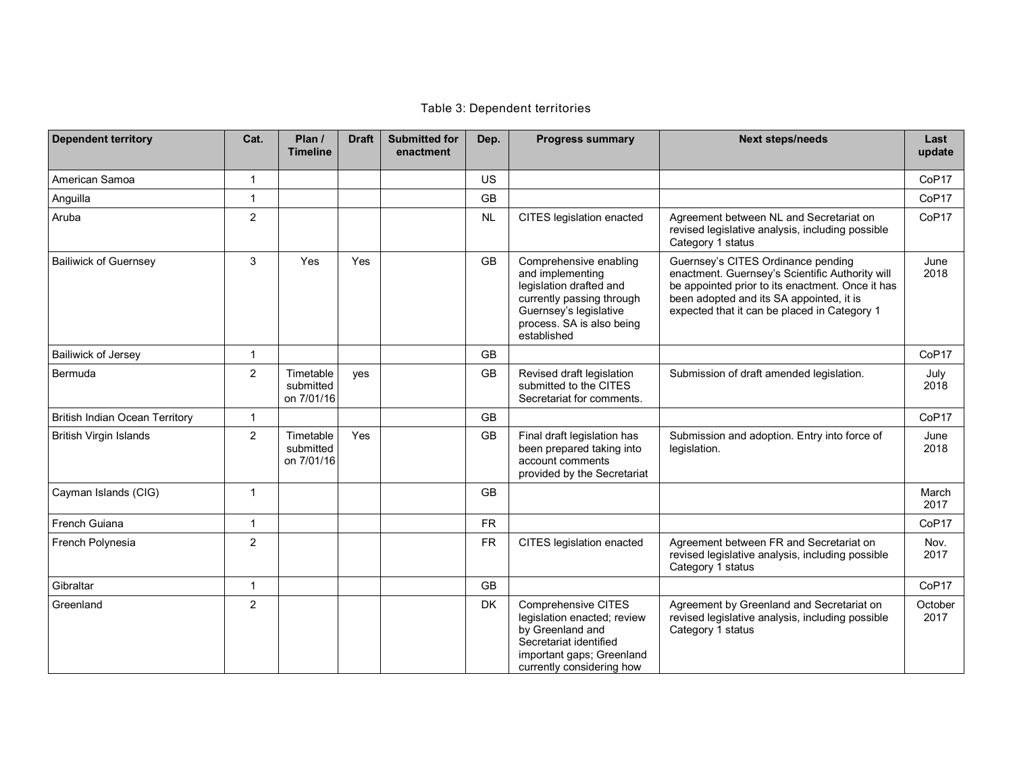## Table 3: Dependent territories

| <b>Dependent territory</b>            | Cat.           | Plan /<br><b>Timeline</b>            | <b>Draft</b> | <b>Submitted for</b><br>enactment | Dep.      | <b>Progress summary</b>                                                                                                                                                  | <b>Next steps/needs</b>                                                                                                                                                                                                               | Last<br>update    |
|---------------------------------------|----------------|--------------------------------------|--------------|-----------------------------------|-----------|--------------------------------------------------------------------------------------------------------------------------------------------------------------------------|---------------------------------------------------------------------------------------------------------------------------------------------------------------------------------------------------------------------------------------|-------------------|
| American Samoa                        | $\mathbf 1$    |                                      |              |                                   | <b>US</b> |                                                                                                                                                                          |                                                                                                                                                                                                                                       | CoP <sub>17</sub> |
| Anguilla                              | -1             |                                      |              |                                   | GB        |                                                                                                                                                                          |                                                                                                                                                                                                                                       | CoP17             |
| Aruba                                 | $\overline{2}$ |                                      |              |                                   | <b>NL</b> | CITES legislation enacted                                                                                                                                                | Agreement between NL and Secretariat on<br>revised legislative analysis, including possible<br>Category 1 status                                                                                                                      | CoP17             |
| <b>Bailiwick of Guernsey</b>          | 3              | Yes                                  | Yes          |                                   | GB        | Comprehensive enabling<br>and implementing<br>legislation drafted and<br>currently passing through<br>Guernsey's legislative<br>process. SA is also being<br>established | Guernsey's CITES Ordinance pending<br>enactment. Guernsey's Scientific Authority will<br>be appointed prior to its enactment. Once it has<br>been adopted and its SA appointed, it is<br>expected that it can be placed in Category 1 | June<br>2018      |
| Bailiwick of Jersey                   | $\overline{1}$ |                                      |              |                                   | <b>GB</b> |                                                                                                                                                                          |                                                                                                                                                                                                                                       | CoP <sub>17</sub> |
| Bermuda                               | $\overline{2}$ | Timetable<br>submitted<br>on 7/01/16 | yes          |                                   | <b>GB</b> | Revised draft legislation<br>submitted to the CITES<br>Secretariat for comments.                                                                                         | Submission of draft amended legislation.                                                                                                                                                                                              | July<br>2018      |
| <b>British Indian Ocean Territory</b> | 1              |                                      |              |                                   | <b>GB</b> |                                                                                                                                                                          |                                                                                                                                                                                                                                       | CoP17             |
| <b>British Virgin Islands</b>         | $\overline{2}$ | Timetable<br>submitted<br>on 7/01/16 | Yes          |                                   | GB        | Final draft legislation has<br>been prepared taking into<br>account comments<br>provided by the Secretariat                                                              | Submission and adoption. Entry into force of<br>legislation.                                                                                                                                                                          | June<br>2018      |
| Cayman Islands (CIG)                  | 1              |                                      |              |                                   | GB        |                                                                                                                                                                          |                                                                                                                                                                                                                                       | March<br>2017     |
| French Guiana                         | $\overline{1}$ |                                      |              |                                   | <b>FR</b> |                                                                                                                                                                          |                                                                                                                                                                                                                                       | CoP17             |
| French Polynesia                      | $\overline{2}$ |                                      |              |                                   | <b>FR</b> | CITES legislation enacted                                                                                                                                                | Agreement between FR and Secretariat on<br>revised legislative analysis, including possible<br>Category 1 status                                                                                                                      | Nov.<br>2017      |
| Gibraltar                             | $\mathbf{1}$   |                                      |              |                                   | <b>GB</b> |                                                                                                                                                                          |                                                                                                                                                                                                                                       | CoP17             |
| Greenland                             | $\overline{2}$ |                                      |              |                                   | <b>DK</b> | <b>Comprehensive CITES</b><br>legislation enacted; review<br>by Greenland and<br>Secretariat identified<br>important gaps; Greenland<br>currently considering how        | Agreement by Greenland and Secretariat on<br>revised legislative analysis, including possible<br>Category 1 status                                                                                                                    | October<br>2017   |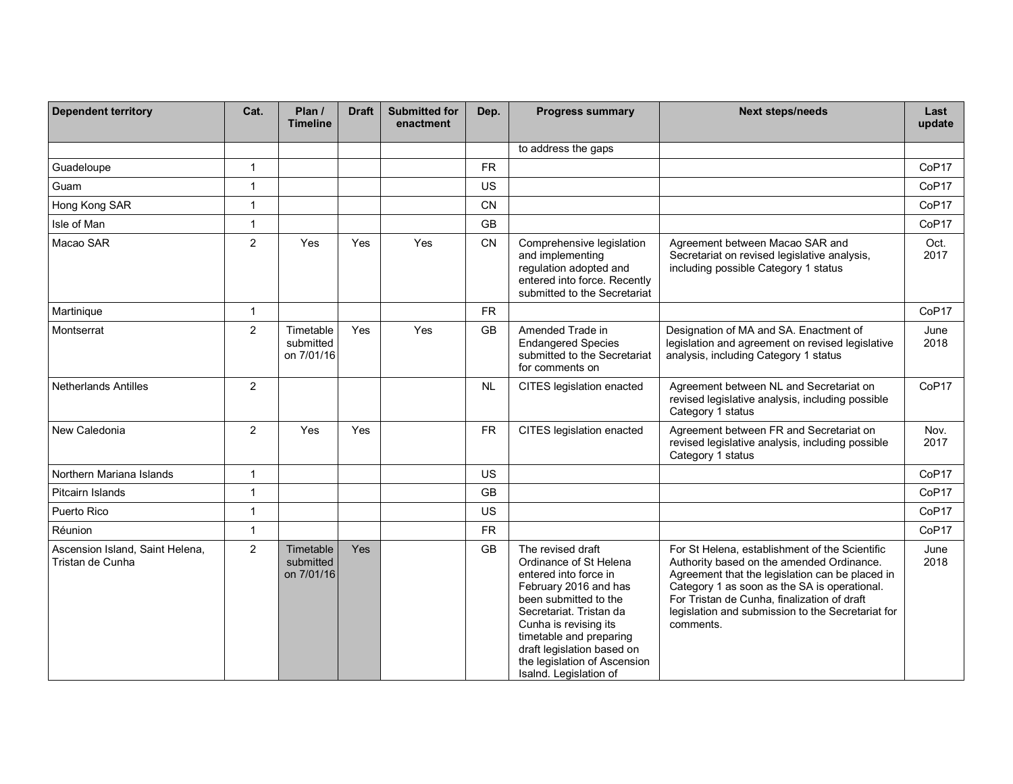| <b>Dependent territory</b>                          | Cat.           | Plan /<br><b>Timeline</b>            | <b>Draft</b> | <b>Submitted for</b><br>enactment | Dep.      | <b>Progress summary</b>                                                                                                                                                                                                                                                                       | <b>Next steps/needs</b>                                                                                                                                                                                                                                                                                         | Last<br>update    |
|-----------------------------------------------------|----------------|--------------------------------------|--------------|-----------------------------------|-----------|-----------------------------------------------------------------------------------------------------------------------------------------------------------------------------------------------------------------------------------------------------------------------------------------------|-----------------------------------------------------------------------------------------------------------------------------------------------------------------------------------------------------------------------------------------------------------------------------------------------------------------|-------------------|
|                                                     |                |                                      |              |                                   |           | to address the gaps                                                                                                                                                                                                                                                                           |                                                                                                                                                                                                                                                                                                                 |                   |
| Guadeloupe                                          | $\mathbf{1}$   |                                      |              |                                   | <b>FR</b> |                                                                                                                                                                                                                                                                                               |                                                                                                                                                                                                                                                                                                                 | CoP17             |
| Guam                                                | $\mathbf{1}$   |                                      |              |                                   | <b>US</b> |                                                                                                                                                                                                                                                                                               |                                                                                                                                                                                                                                                                                                                 | CoP <sub>17</sub> |
| Hong Kong SAR                                       | $\mathbf{1}$   |                                      |              |                                   | <b>CN</b> |                                                                                                                                                                                                                                                                                               |                                                                                                                                                                                                                                                                                                                 | CoP17             |
| Isle of Man                                         | $\mathbf{1}$   |                                      |              |                                   | <b>GB</b> |                                                                                                                                                                                                                                                                                               |                                                                                                                                                                                                                                                                                                                 | CoP17             |
| Macao SAR                                           | $\overline{2}$ | Yes                                  | Yes          | Yes                               | <b>CN</b> | Comprehensive legislation<br>and implementing<br>regulation adopted and<br>entered into force. Recently<br>submitted to the Secretariat                                                                                                                                                       | Agreement between Macao SAR and<br>Secretariat on revised legislative analysis,<br>including possible Category 1 status                                                                                                                                                                                         | Oct.<br>2017      |
| Martinique                                          | 1              |                                      |              |                                   | <b>FR</b> |                                                                                                                                                                                                                                                                                               |                                                                                                                                                                                                                                                                                                                 | CoP <sub>17</sub> |
| Montserrat                                          | $\overline{2}$ | Timetable<br>submitted<br>on 7/01/16 | Yes          | Yes                               | <b>GB</b> | Amended Trade in<br><b>Endangered Species</b><br>submitted to the Secretariat<br>for comments on                                                                                                                                                                                              | Designation of MA and SA. Enactment of<br>legislation and agreement on revised legislative<br>analysis, including Category 1 status                                                                                                                                                                             | June<br>2018      |
| <b>Netherlands Antilles</b>                         | $\overline{2}$ |                                      |              |                                   | <b>NL</b> | CITES legislation enacted                                                                                                                                                                                                                                                                     | Agreement between NL and Secretariat on<br>revised legislative analysis, including possible<br>Category 1 status                                                                                                                                                                                                | CoP <sub>17</sub> |
| New Caledonia                                       | $\overline{2}$ | Yes                                  | Yes          |                                   | <b>FR</b> | CITES legislation enacted                                                                                                                                                                                                                                                                     | Agreement between FR and Secretariat on<br>revised legislative analysis, including possible<br>Category 1 status                                                                                                                                                                                                | Nov.<br>2017      |
| Northern Mariana Islands                            | 1              |                                      |              |                                   | <b>US</b> |                                                                                                                                                                                                                                                                                               |                                                                                                                                                                                                                                                                                                                 | CoP <sub>17</sub> |
| Pitcairn Islands                                    | $\mathbf{1}$   |                                      |              |                                   | GB        |                                                                                                                                                                                                                                                                                               |                                                                                                                                                                                                                                                                                                                 | CoP17             |
| Puerto Rico                                         | $\mathbf{1}$   |                                      |              |                                   | US        |                                                                                                                                                                                                                                                                                               |                                                                                                                                                                                                                                                                                                                 | CoP <sub>17</sub> |
| Réunion                                             | $\mathbf{1}$   |                                      |              |                                   | <b>FR</b> |                                                                                                                                                                                                                                                                                               |                                                                                                                                                                                                                                                                                                                 | CoP17             |
| Ascension Island, Saint Helena,<br>Tristan de Cunha | $\overline{2}$ | Timetable<br>submitted<br>on 7/01/16 | Yes          |                                   | <b>GB</b> | The revised draft<br>Ordinance of St Helena<br>entered into force in<br>February 2016 and has<br>been submitted to the<br>Secretariat. Tristan da<br>Cunha is revising its<br>timetable and preparing<br>draft legislation based on<br>the legislation of Ascension<br>Isalnd. Legislation of | For St Helena, establishment of the Scientific<br>Authority based on the amended Ordinance.<br>Agreement that the legislation can be placed in<br>Category 1 as soon as the SA is operational.<br>For Tristan de Cunha, finalization of draft<br>legislation and submission to the Secretariat for<br>comments. | June<br>2018      |